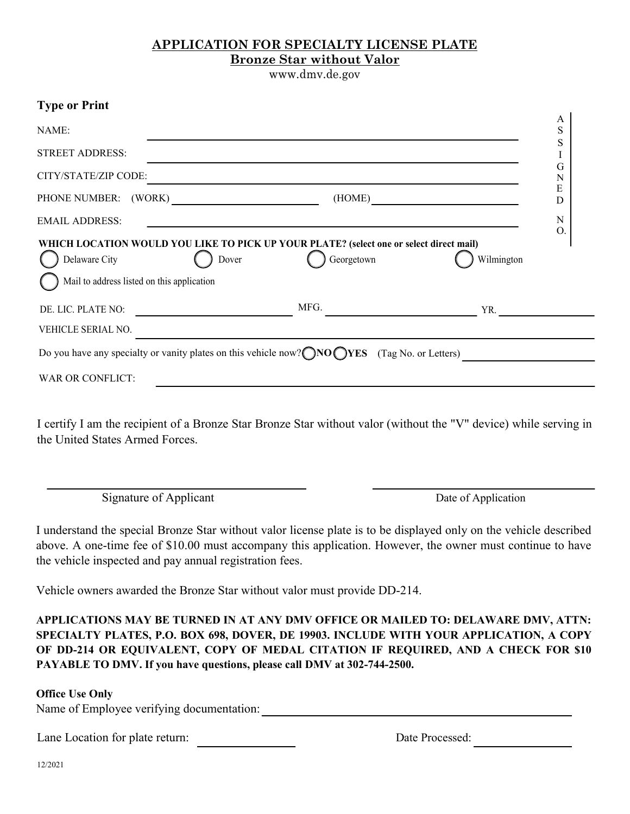## **APPLICATION FOR SPECIALTY LICENSE PLATE Bronze Star without Valor**

www.dmv.de.gov

A (HOME) PHONE NUMBER: (WORK) **Type or Print** NAME: STREET ADDRESS: CITY/STATE/ZIP CODE: EMAIL ADDRESS: S S I G N E D N O. DE. LIC. PLATE NO: TRACKER SERVICE SERVICE SERVICE SERVICE SERVICE SERVICE SERVICE SERVICE SERVICE SERVICE SER Do you have any specialty or vanity plates on this vehicle now? ONO OYES (Tag No. or Letters) VEHICLE SERIAL NO. WAR OR CONFLICT: Delaware City (Delaware Given Contract of Dover Georgetown Mail to address listed on this application ( ) Wilmington **WHICH LOCATION WOULD YOU LIKE TO PICK UP YOUR PLATE? (select one or select direct mail)**

I certify I am the recipient of a Bronze Star Bronze Star without valor (without the "V" device) while serving in the United States Armed Forces.

Signature of Applicant Date of Application

I understand the special Bronze Star without valor license plate is to be displayed only on the vehicle described above. A one-time fee of \$10.00 must accompany this application. However, the owner must continue to have the vehicle inspected and pay annual registration fees.

Vehicle owners awarded the Bronze Star without valor must provide DD-214.

**APPLICATIONS MAY BE TURNED IN AT ANY DMV OFFICE OR MAILED TO: DELAWARE DMV, ATTN: SPECIALTY PLATES, P.O. BOX 698, DOVER, DE 19903. INCLUDE WITH YOUR APPLICATION, A COPY OF DD-214 OR EQUIVALENT, COPY OF MEDAL CITATION IF REQUIRED, AND A CHECK FOR \$10 PAYABLE TO DMV. If you have questions, please call DMV at 302-744-2500.** 

## **Office Use Only**

Name of Employee verifying documentation:

Lane Location for plate return: Date Processed: \_\_\_\_\_\_\_\_\_\_\_\_\_\_\_\_\_\_\_\_\_\_\_\_\_\_\_\_\_\_\_\_\_

12/2021